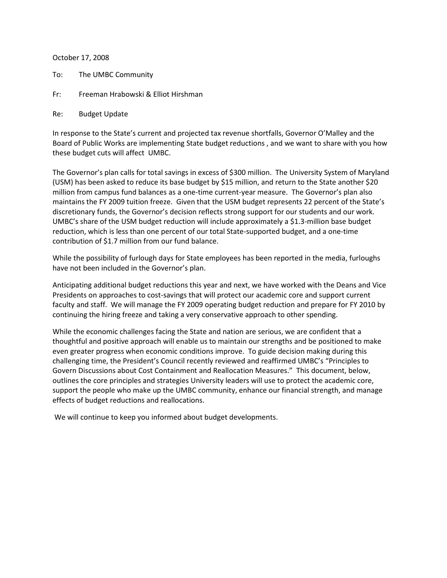October 17, 2008

- To: The UMBC Community
- Fr: Freeman Hrabowski & Elliot Hirshman

## Re: Budget Update

In response to the State's current and projected tax revenue shortfalls, Governor O'Malley and the Board of Public Works are implementing State budget reductions , and we want to share with you how these budget cuts will affect UMBC.

The Governor's plan calls for total savings in excess of \$300 million. The University System of Maryland (USM) has been asked to reduce its base budget by \$15 million, and return to the State another \$20 million from campus fund balances as a one-time current-year measure. The Governor's plan also maintains the FY 2009 tuition freeze. Given that the USM budget represents 22 percent of the State's discretionary funds, the Governor's decision reflects strong support for our students and our work. UMBC's share of the USM budget reduction will include approximately a \$1.3-million base budget reduction, which is less than one percent of our total State-supported budget, and a one-time contribution of \$1.7 million from our fund balance.

While the possibility of furlough days for State employees has been reported in the media, furloughs have not been included in the Governor's plan.

Anticipating additional budget reductions this year and next, we have worked with the Deans and Vice Presidents on approaches to cost-savings that will protect our academic core and support current faculty and staff. We will manage the FY 2009 operating budget reduction and prepare for FY 2010 by continuing the hiring freeze and taking a very conservative approach to other spending.

While the economic challenges facing the State and nation are serious, we are confident that a thoughtful and positive approach will enable us to maintain our strengths and be positioned to make even greater progress when economic conditions improve. To guide decision making during this challenging time, the President's Council recently reviewed and reaffirmed UMBC's "Principles to Govern Discussions about Cost Containment and Reallocation Measures." This document, below, outlines the core principles and strategies University leaders will use to protect the academic core, support the people who make up the UMBC community, enhance our financial strength, and manage effects of budget reductions and reallocations.

We will continue to keep you informed about budget developments.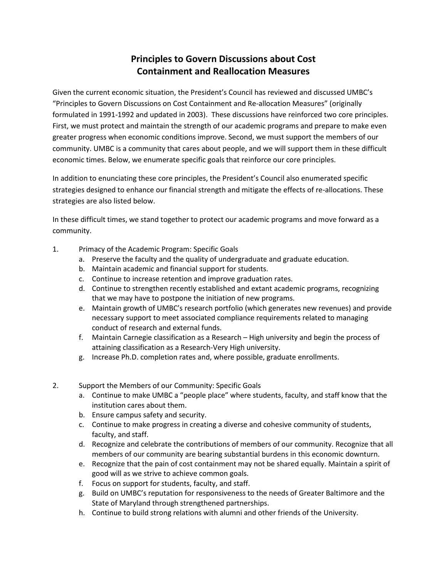## **Principles to Govern Discussions about Cost Containment and Reallocation Measures**

Given the current economic situation, the President's Council has reviewed and discussed UMBC's "Principles to Govern Discussions on Cost Containment and Re-allocation Measures" (originally formulated in 1991-1992 and updated in 2003). These discussions have reinforced two core principles. First, we must protect and maintain the strength of our academic programs and prepare to make even greater progress when economic conditions improve. Second, we must support the members of our community. UMBC is a community that cares about people, and we will support them in these difficult economic times. Below, we enumerate specific goals that reinforce our core principles.

In addition to enunciating these core principles, the President's Council also enumerated specific strategies designed to enhance our financial strength and mitigate the effects of re-allocations. These strategies are also listed below.

In these difficult times, we stand together to protect our academic programs and move forward as a community.

- 1. Primacy of the Academic Program: Specific Goals
	- a. Preserve the faculty and the quality of undergraduate and graduate education.
	- b. Maintain academic and financial support for students.
	- c. Continue to increase retention and improve graduation rates.
	- d. Continue to strengthen recently established and extant academic programs, recognizing that we may have to postpone the initiation of new programs.
	- e. Maintain growth of UMBC's research portfolio (which generates new revenues) and provide necessary support to meet associated compliance requirements related to managing conduct of research and external funds.
	- f. Maintain Carnegie classification as a Research High university and begin the process of attaining classification as a Research-Very High university.
	- g. Increase Ph.D. completion rates and, where possible, graduate enrollments.
- 2. Support the Members of our Community: Specific Goals
	- a. Continue to make UMBC a "people place" where students, faculty, and staff know that the institution cares about them.
	- b. Ensure campus safety and security.
	- c. Continue to make progress in creating a diverse and cohesive community of students, faculty, and staff.
	- d. Recognize and celebrate the contributions of members of our community. Recognize that all members of our community are bearing substantial burdens in this economic downturn.
	- e. Recognize that the pain of cost containment may not be shared equally. Maintain a spirit of good will as we strive to achieve common goals.
	- f. Focus on support for students, faculty, and staff.
	- g. Build on UMBC's reputation for responsiveness to the needs of Greater Baltimore and the State of Maryland through strengthened partnerships.
	- h. Continue to build strong relations with alumni and other friends of the University.